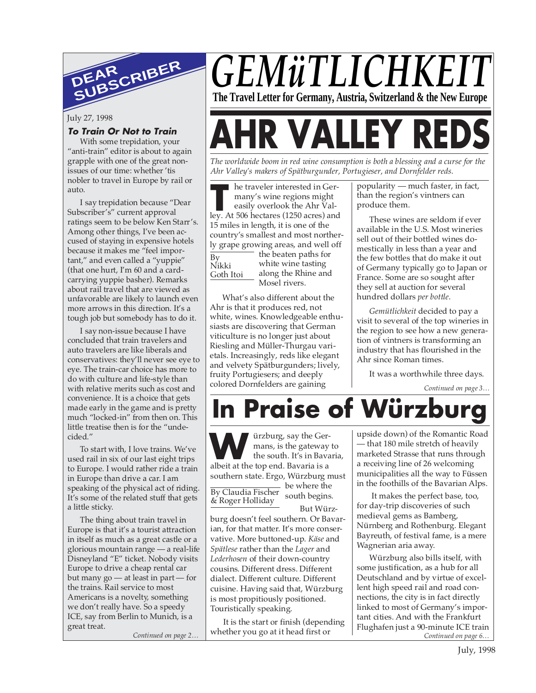

July 27, 1998

#### **To Train Or Not to Train**

With some trepidation, your "anti-train" editor is about to again grapple with one of the great nonissues of our time: whether 'tis nobler to travel in Europe by rail or auto.

I say trepidation because "Dear Subscriber's" current approval ratings seem to be below Ken Starr's. Among other things, I've been accused of staying in expensive hotels because it makes me "feel important," and even called a "yuppie" (that one hurt, I'm 60 and a cardcarrying yuppie basher). Remarks about rail travel that are viewed as unfavorable are likely to launch even more arrows in this direction. It's a tough job but somebody has to do it.

I say non-issue because I have concluded that train travelers and auto travelers are like liberals and conservatives: they'll never see eye to eye. The train-car choice has more to do with culture and life-style than with relative merits such as cost and convenience. It is a choice that gets made early in the game and is pretty much "locked-in" from then on. This little treatise then is for the "undecided."

To start with, I love trains. We've used rail in six of our last eight trips to Europe. I would rather ride a train in Europe than drive a car. I am speaking of the physical act of riding. It's some of the related stuff that gets a little sticky.

The thing about train travel in Europe is that it's a tourist attraction in itself as much as a great castle or a glorious mountain range — a real-life Disneyland "E" ticket. Nobody visits Europe to drive a cheap rental car but many go — at least in part — for the trains. Rail service to most Americans is a novelty, something we don't really have. So a speedy ICE, say from Berlin to Munich, is a great treat.

## *GEMüTLICHKE* **The Travel Letter for Germany, Austria, Switzerland & the New Europe**

# **R VALLEY RE**

*The worldwide boom in red wine consumption is both a blessing and a curse for the Ahr Valley's makers of Spätburgunder, Portugieser, and Dornfelder reds.*

**THE TENSUARE SERVING AND RESERVISTOR MANUSCRET AND RESP. At 506 hectares (1250 acres) and and the series of the series of**  $\frac{1250}{1250}$  **acres) and** he traveler interested in Germany's wine regions might easily overlook the Ahr Val-15 miles in length, it is one of the country's smallest and most northerly grape growing areas, and well off the beaten paths for white wine tasting along the Rhine and Mosel rivers. By Nikki Goth Itoi

What's also different about the Ahr is that it produces red, not white, wines. Knowledgeable enthusiasts are discovering that German viticulture is no longer just about Riesling and Müller-Thurgau varietals. Increasingly, reds like elegant and velvety Spätburgunders; lively, fruity Portugiesers; and deeply colored Dornfelders are gaining

popularity — much faster, in fact, than the region's vintners can produce them.

These wines are seldom if ever available in the U.S. Most wineries sell out of their bottled wines domestically in less than a year and the few bottles that do make it out of Germany typically go to Japan or France. Some are so sought after they sell at auction for several hundred dollars *per bottle*.

*Gemütlichkeit* decided to pay a visit to several of the top wineries in the region to see how a new generation of vintners is transforming an industry that has flourished in the Ahr since Roman times.

It was a worthwhile three days.

*Continued on page 3…*

**In Praise of Würz** 

ürzburg, say the Germans, is the gateway to the south. It's in Bavaria, **albeit at the top end. Bavaria is a** state top end. Bavaria is a southern state. Ergo, Würzburg must

By Claudia Fischer<br>& Poger Holliday south begins. & Roger Holliday

be where the But Würz-

burg doesn't feel southern. Or Bavarian, for that matter. It's more conservative. More buttoned-up. *Käse* and *Spätlese* rather than the *Lager* and *Lederhosen* of their down-country cousins. Different dress. Different dialect. Different culture. Different cuisine. Having said that, Würzburg is most propitiously positioned. Touristically speaking.

*Continued on page 2…* WILL CONTERN CONTERNATION CONTINUED On page 6... It is the start or finish (depending whether you go at it head first or

upside down) of the Romantic Road — that 180 mile stretch of heavily marketed Strasse that runs through a receiving line of 26 welcoming municipalities all the way to Füssen in the foothills of the Bavarian Alps.

 It makes the perfect base, too, for day-trip discoveries of such medieval gems as Bamberg, Nürnberg and Rothenburg. Elegant Bayreuth, of festival fame, is a mere Wagnerian aria away.

Würzburg also bills itself, with some justification, as a hub for all Deutschland and by virtue of excellent high speed rail and road connections, the city is in fact directly linked to most of Germany's important cities. And with the Frankfurt Flughafen just a 90-minute ICE train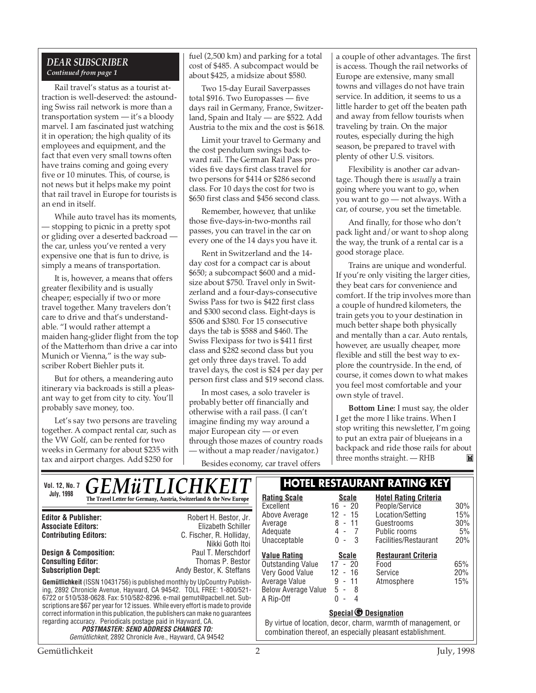#### *DEAR SUBSCRIBER Continued from page 1*

Rail travel's status as a tourist attraction is well-deserved: the astounding Swiss rail network is more than a transportation system — it's a bloody marvel. I am fascinated just watching it in operation; the high quality of its employees and equipment, and the fact that even very small towns often have trains coming and going every five or 10 minutes. This, of course, is not news but it helps make my point that rail travel in Europe for tourists is an end in itself.

While auto travel has its moments, — stopping to picnic in a pretty spot or gliding over a deserted backroad the car, unless you've rented a very expensive one that is fun to drive, is simply a means of transportation.

It is, however, a means that offers greater flexibility and is usually cheaper; especially if two or more travel together. Many travelers don't care to drive and that's understandable. "I would rather attempt a maiden hang-glider flight from the top of the Matterhorn than drive a car into Munich or Vienna," is the way subscriber Robert Biehler puts it.

But for others, a meandering auto itinerary via backroads is still a pleasant way to get from city to city. You'll probably save money, too.

Let's say two persons are traveling together. A compact rental car, such as the VW Golf, can be rented for two weeks in Germany for about \$235 with tax and airport charges. Add \$250 for

fuel (2,500 km) and parking for a total cost of \$485. A subcompact would be about \$425, a midsize about \$580.

Two 15-day Eurail Saverpasses total \$916. Two Europasses — five days rail in Germany, France, Switzerland, Spain and Italy — are \$522. Add Austria to the mix and the cost is \$618.

Limit your travel to Germany and the cost pendulum swings back toward rail. The German Rail Pass provides five days first class travel for two persons for \$414 or \$286 second class. For 10 days the cost for two is \$650 first class and \$456 second class.

Remember, however, that unlike those five-days-in-two-months rail passes, you can travel in the car on every one of the 14 days you have it.

Rent in Switzerland and the 14 day cost for a compact car is about \$650; a subcompact \$600 and a midsize about \$750. Travel only in Switzerland and a four-days-consecutive Swiss Pass for two is \$422 first class and \$300 second class. Eight-days is \$506 and \$380. For 15 consecutive days the tab is \$588 and \$460. The Swiss Flexipass for two is \$411 first class and \$282 second class but you get only three days travel. To add travel days, the cost is \$24 per day per person first class and \$19 second class.

In most cases, a solo traveler is probably better off financially and otherwise with a rail pass. (I can't imagine finding my way around a major European city — or even through those mazes of country roads — without a map reader/navigator.)

Besides economy, car travel offers

a couple of other advantages. The first is access. Though the rail networks of Europe are extensive, many small towns and villages do not have train service. In addition, it seems to us a little harder to get off the beaten path and away from fellow tourists when traveling by train. On the major routes, especially during the high season, be prepared to travel with plenty of other U.S. visitors.

Flexibility is another car advantage. Though there is *usually* a train going where you want to go, when you want to go — not always. With a car, of course, you set the timetable.

And finally, for those who don't pack light and/or want to shop along the way, the trunk of a rental car is a good storage place.

Trains are unique and wonderful. If you're only visiting the larger cities, they beat cars for convenience and comfort. If the trip involves more than a couple of hundred kilometers, the train gets you to your destination in much better shape both physically and mentally than a car. Auto rentals, however, are usually cheaper, more flexible and still the best way to explore the countryside. In the end, of course, it comes down to what makes you feel most comfortable and your own style of travel.

**Bottom Line:** I must say, the older I get the more I like trains. When I stop writing this newsletter, I'm going to put an extra pair of bluejeans in a backpack and ride those rails for about three months straight. — RHB $\mathbf{M}$ 

| <b>GEMÜTLICHKEIT</b><br><b>Vol. 12, No. 7</b>                                                                                                                                                                                                                                                                                                                                                          |                                                                                                                                                                    |                                                                                                      | <b>HOTEL RESTAURANT RATING KEY</b>                                      |                         |
|--------------------------------------------------------------------------------------------------------------------------------------------------------------------------------------------------------------------------------------------------------------------------------------------------------------------------------------------------------------------------------------------------------|--------------------------------------------------------------------------------------------------------------------------------------------------------------------|------------------------------------------------------------------------------------------------------|-------------------------------------------------------------------------|-------------------------|
| <b>July, 1998</b><br>The Travel Letter for Germany, Austria, Switzerland & the New Europe                                                                                                                                                                                                                                                                                                              | <b>Rating Scale</b><br>Excellent                                                                                                                                   | <b>Scale</b><br>$16 - 20$                                                                            | <b>Hotel Rating Criteria</b><br>People/Service                          | 30%                     |
| Robert H. Bestor, Jr.<br><b>Editor &amp; Publisher:</b><br>Elizabeth Schiller<br><b>Associate Editors:</b><br><b>Contributing Editors:</b><br>C. Fischer, R. Holliday,<br>Nikki Goth Itoi                                                                                                                                                                                                              | Above Average<br>Average<br>Adequate<br>Unacceptable                                                                                                               | $-15$<br>12<br>8<br>$-11$<br>$4 - 7$<br>0<br>- 3<br>$\overline{\phantom{a}}$                         | Location/Setting<br>Guestrooms<br>Public rooms<br>Facilities/Restaurant | 15%<br>30%<br>5%<br>20% |
| <b>Design &amp; Composition:</b><br>Paul T. Merschdorf<br><b>Consulting Editor:</b><br>Thomas P. Bestor<br><b>Subscription Dept:</b><br>Andy Bestor, K. Steffans<br><b>Gemütlichkeit</b> (ISSN 10431756) is published monthly by UpCountry Publish-<br>ing, 2892 Chronicle Avenue, Hayward, CA 94542. TOLL FREE: 1-800/521-<br>6722 or 510/538-0628. Fax: 510/582-8296. e-mail gemut@pacbell.net. Sub- | <b>Value Rating</b><br><b>Outstanding Value</b><br>Very Good Value<br>Average Value<br>Below Average Value<br>A Rip-Off                                            | <b>Scale</b><br>$17 - 20$<br>12<br>- 16<br>$9 - 11$<br>$5 - 8$<br>0<br>4<br>$\overline{\phantom{a}}$ | <b>Restaurant Criteria</b><br>Food<br>Service<br>Atmosphere             | 65%<br>20%<br>15%       |
| scriptions are \$67 per year for 12 issues. While every effort is made to provide<br>correct information in this publication, the publishers can make no quarantees<br>regarding accuracy. Periodicals postage paid in Hayward, CA.<br><b>POSTMASTER: SEND ADDRESS CHANGES TO:</b><br>Gemütlichkeit, 2892 Chronicle Ave., Hayward, CA 94542                                                            | Special <b><i>O</i></b> Designation<br>By virtue of location, decor, charm, warmth of management, or<br>combination thereof, an especially pleasant establishment. |                                                                                                      |                                                                         |                         |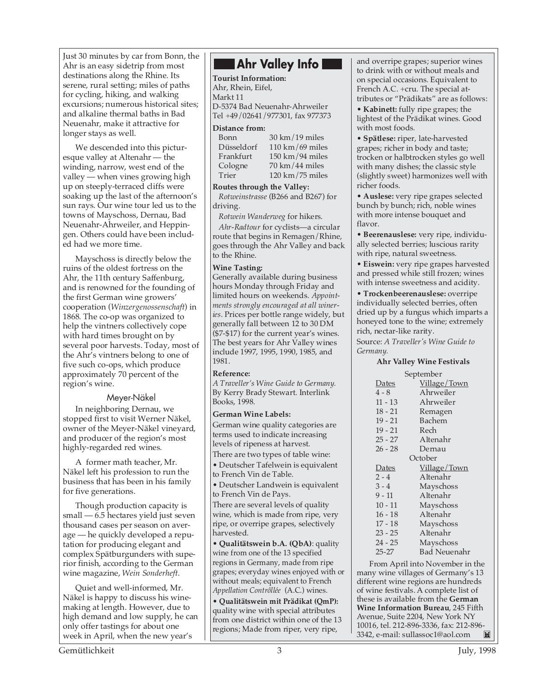Just 30 minutes by car from Bonn, the **Ahr Valley Info** Ahr is an easy sidetrip from most destinations along the Rhine. Its serene, rural setting; miles of paths for cycling, hiking, and walking excursions; numerous historical sites; and alkaline thermal baths in Bad Neuenahr, make it attractive for longer stays as well.

We descended into this picturesque valley at Altenahr — the winding, narrow, west end of the valley — when vines growing high up on steeply-terraced cliffs were soaking up the last of the afternoon's sun rays. Our wine tour led us to the towns of Mayschoss, Dernau, Bad Neuenahr-Ahrweiler, and Heppingen. Others could have been included had we more time.

Mayschoss is directly below the ruins of the oldest fortress on the Ahr, the 11th century Saffenburg, and is renowned for the founding of the first German wine growers' cooperation (*Winzergenossenschaft*) in 1868. The co-op was organized to help the vintners collectively cope with hard times brought on by several poor harvests. Today, most of the Ahr's vintners belong to one of five such co-ops, which produce approximately 70 percent of the region's wine.

#### Meyer-Näkel

In neighboring Dernau, we stopped first to visit Werner Näkel, owner of the Meyer-Näkel vineyard, and producer of the region's most highly-regarded red wines.

A former math teacher, Mr. Näkel left his profession to run the business that has been in his family for five generations.

Though production capacity is small — 6.5 hectares yield just seven thousand cases per season on average — he quickly developed a reputation for producing elegant and complex Spätburgunders with superior finish, according to the German wine magazine, *Wein Sonderheft.*

Quiet and well-informed, Mr. Näkel is happy to discuss his winemaking at length. However, due to high demand and low supply, he can only offer tastings for about one week in April, when the new year's

**Tourist Information:** Ahr, Rhein, Eifel, Markt 11 D-5374 Bad Neuenahr-Ahrweiler Tel +49/02641/977301, fax 977373

#### **Distance from:**

| $30 \text{ km} / 19 \text{ miles}$<br>Bonn     |  |
|------------------------------------------------|--|
| 110 km/69 miles<br>Düsseldorf                  |  |
| $150 \text{ km}/94 \text{ miles}$<br>Frankfurt |  |
| $70 \text{ km}$ / 44 miles<br>Cologne          |  |
| $120 \text{ km} / 75 \text{ miles}$<br>Trier   |  |

**Routes through the Valley:**

*Rotweinstrasse* (B266 and B267) for driving.

*Rotwein Wanderweg* for hikers.

*Ahr-Radtour* for cyclists—a circular route that begins in Remagen/Rhine, goes through the Ahr Valley and back to the Rhine.

#### **Wine Tasting:**

Generally available during business hours Monday through Friday and limited hours on weekends. *Appointments strongly encouraged at all wineries*. Prices per bottle range widely, but generally fall between 12 to 30 DM (\$7-\$17) for the current year's wines. The best years for Ahr Valley wines include 1997, 1995, 1990, 1985, and 1981.

#### **Reference:**

*A Traveller's Wine Guide to Germany.* By Kerry Brady Stewart. Interlink Books, 1998.

#### **German Wine Labels:**

German wine quality categories are terms used to indicate increasing levels of ripeness at harvest. There are two types of table wine:

• Deutscher Tafelwein is equivalent

to French Vin de Table.

• Deutscher Landwein is equivalent to French Vin de Pays.

There are several levels of quality wine, which is made from ripe, very ripe, or overripe grapes, selectively harvested.

• **Qualitätswein b.A. (QbA)**: quality wine from one of the 13 specified regions in Germany, made from ripe grapes; everyday wines enjoyed with or without meals; equivalent to French *Appellation Contrôllée* (A.C.) wines.

• **Qualitätswein mit Prädikat (QmP):** quality wine with special attributes from one district within one of the 13 regions; Made from riper, very ripe,

and overripe grapes; superior wines to drink with or without meals and on special occasions. Equivalent to French A.C. +cru. The special attributes or "Prädikats" are as follows:

• **Kabinett:** fully ripe grapes; the lightest of the Prädikat wines. Good with most foods.

• **Spätlese:** riper, late-harvested grapes; richer in body and taste; trocken or halbtrocken styles go well with many dishes; the classic style (slightly sweet) harmonizes well with richer foods.

• **Auslese:** very ripe grapes selected bunch by bunch; rich, noble wines with more intense bouquet and flavor.

• **Beerenauslese:** very ripe, individually selected berries; luscious rarity with ripe, natural sweetness.

• **Eiswein:** very ripe grapes harvested and pressed while still frozen; wines with intense sweetness and acidity.

• **Trockenbeerenauslese:** overripe individually selected berries, often dried up by a fungus which imparts a honeyed tone to the wine; extremely rich, nectar-like rarity.

Source: *A Traveller's Wine Guide to Germany.*

#### **Ahr Valley Wine Festivals**

September

| Dates     | Village/Town |  |
|-----------|--------------|--|
| 4 - 8     | Ahrweiler    |  |
| $11 - 13$ | Ahrweiler    |  |
| $18 - 21$ | Remagen      |  |
| $19 - 21$ | Bachem       |  |
| $19 - 21$ | Rech         |  |
| $25 - 27$ | Altenahr     |  |
| $26 - 28$ | Dernau       |  |
| October   |              |  |
| Dates     | Village/Town |  |
| $2 - 4$   | Altenahr     |  |
| $3 - 4$   | Mayschoss    |  |
| 9 - 11    | Altenahr     |  |
| $10 - 11$ | Mayschoss    |  |
| $16 - 18$ | Altenahr     |  |
| $17 - 18$ | Mayschoss    |  |
| $23 - 25$ | Altenahr     |  |
| 24 - 25   | Mayschoss    |  |
| $25 - 27$ | Bad Neuenahr |  |

From April into November in the many wine villages of Germany's 13 different wine regions are hundreds of wine festivals. A complete list of these is available from the **German Wine Information Bureau**, 245 Fifth Avenue, Suite 2204, New York NY 10016, tel. 212-896-3336, fax: 212-896-<br>3342. e-mail: sullassoc1@aol.com 图 3342, e-mail: sullassoc1@aol.com

Gemütlichkeit 3 July, 1998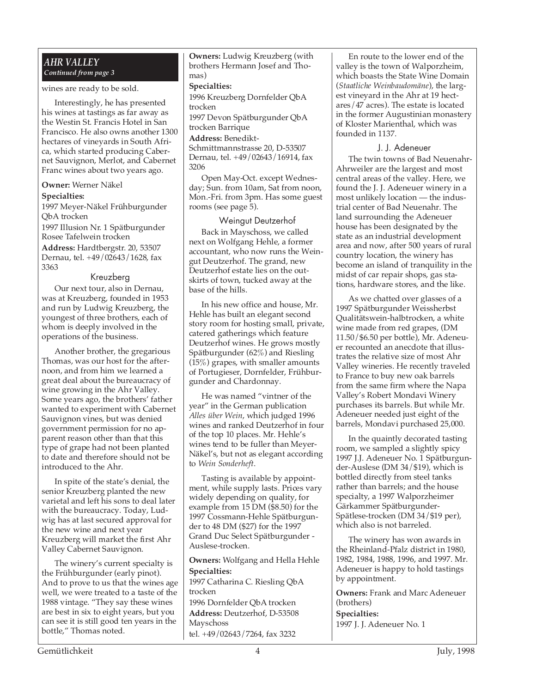#### *AHR VALLEY Continued from page 3*

wines are ready to be sold.

Interestingly, he has presented his wines at tastings as far away as the Westin St. Francis Hotel in San Francisco. He also owns another 1300 hectares of vineyards in South Africa, which started producing Cabernet Sauvignon, Merlot, and Cabernet Franc wines about two years ago.

#### **Owner:** Werner Näkel

#### **Specialties:**

1997 Meyer-Näkel Frühburgunder QbA trocken

1997 Illusion Nr. 1 Spätburgunder Rosee Tafelwein trocken

**Address:** Hardtbergstr. 20, 53507 Dernau, tel. +49/02643/1628, fax 3363

#### Kreuzberg

Our next tour, also in Dernau, was at Kreuzberg, founded in 1953 and run by Ludwig Kreuzberg, the youngest of three brothers, each of whom is deeply involved in the operations of the business.

Another brother, the gregarious Thomas, was our host for the afternoon, and from him we learned a great deal about the bureaucracy of wine growing in the Ahr Valley. Some years ago, the brothers' father wanted to experiment with Cabernet Sauvignon vines, but was denied government permission for no apparent reason other than that this type of grape had not been planted to date and therefore should not be introduced to the Ahr.

In spite of the state's denial, the senior Kreuzberg planted the new varietal and left his sons to deal later with the bureaucracy. Today, Ludwig has at last secured approval for the new wine and next year Kreuzberg will market the first Ahr Valley Cabernet Sauvignon.

The winery's current specialty is the Frühburgunder (early pinot). And to prove to us that the wines age well, we were treated to a taste of the 1988 vintage. "They say these wines are best in six to eight years, but you can see it is still good ten years in the bottle," Thomas noted.

**Owners:** Ludwig Kreuzberg (with brothers Hermann Josef and Thomas)

#### **Specialties:**

1996 Kreuzberg Dornfelder QbA trocken

1997 Devon Spätburgunder QbA trocken Barrique

#### **Address:** Benedikt-

Schmittmannstrasse 20, D-53507 Dernau, tel. +49/02643/16914, fax 3206

Open May-Oct. except Wednesday; Sun. from 10am, Sat from noon, Mon.-Fri. from 3pm. Has some guest rooms (see page 5).

#### Weingut Deutzerhof

Back in Mayschoss, we called next on Wolfgang Hehle, a former accountant, who now runs the Weingut Deutzerhof. The grand, new Deutzerhof estate lies on the outskirts of town, tucked away at the base of the hills.

In his new office and house, Mr. Hehle has built an elegant second story room for hosting small, private, catered gatherings which feature Deutzerhof wines. He grows mostly Spätburgunder (62%) and Riesling (15%) grapes, with smaller amounts of Portugieser, Dornfelder, Frühburgunder and Chardonnay.

He was named "vintner of the year" in the German publication *Alles über Wein*, which judged 1996 wines and ranked Deutzerhof in four of the top 10 places. Mr. Hehle's wines tend to be fuller than Meyer-Näkel's, but not as elegant according to *Wein Sonderheft*.

Tasting is available by appointment, while supply lasts. Prices vary widely depending on quality, for example from 15 DM (\$8.50) for the 1997 Cossmann-Hehle Spätburgunder to 48 DM (\$27) for the 1997 Grand Duc Select Spätburgunder - Auslese-trocken.

**Owners:** Wolfgang and Hella Hehle **Specialties:** 1997 Catharina C. Riesling QbA trocken 1996 Dornfelder QbA trocken **Address:** Deutzerhof, D-53508 Mayschoss tel. +49/02643/7264, fax 3232

En route to the lower end of the valley is the town of Walporzheim, which boasts the State Wine Domain (*Staatliche Weinbaudomäne*), the largest vineyard in the Ahr at 19 hectares/47 acres). The estate is located in the former Augustinian monastery of Kloster Marienthal, which was founded in 1137.

#### J. J. Adeneuer

The twin towns of Bad Neuenahr-Ahrweiler are the largest and most central areas of the valley. Here, we found the J. J. Adeneuer winery in a most unlikely location — the industrial center of Bad Neuenahr. The land surrounding the Adeneuer house has been designated by the state as an industrial development area and now, after 500 years of rural country location, the winery has become an island of tranquility in the midst of car repair shops, gas stations, hardware stores, and the like.

As we chatted over glasses of a 1997 Spätburgunder Weissherbst Qualitätswein-halbtrocken, a white wine made from red grapes, (DM 11.50/\$6.50 per bottle), Mr. Adeneuer recounted an anecdote that illustrates the relative size of most Ahr Valley wineries. He recently traveled to France to buy new oak barrels from the same firm where the Napa Valley's Robert Mondavi Winery purchases its barrels. But while Mr. Adeneuer needed just eight of the barrels, Mondavi purchased 25,000.

In the quaintly decorated tasting room, we sampled a slightly spicy 1997 J.J. Adeneuer No. 1 Spätburgunder-Auslese (DM 34/\$19), which is bottled directly from steel tanks rather than barrels; and the house specialty, a 1997 Walporzheimer Gärkammer Spätburgunder-Spätlese-trocken (DM 34/\$19 per), which also is not barreled.

The winery has won awards in the Rheinland-Pfalz district in 1980, 1982, 1984, 1988, 1996, and 1997. Mr. Adeneuer is happy to hold tastings by appointment.

**Owners:** Frank and Marc Adeneuer (brothers) **Specialties:** 1997 J. J. Adeneuer No. 1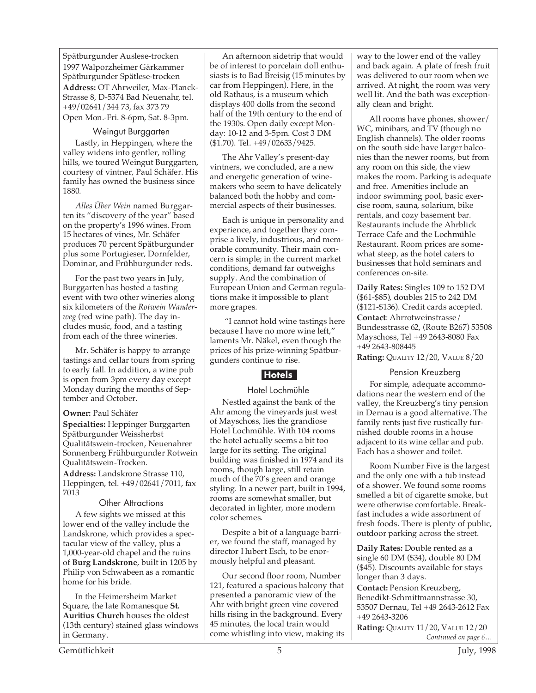Spätburgunder Auslese-trocken 1997 Walporzheimer Gärkammer Spätburgunder Spätlese-trocken **Address:** OT Ahrweiler, Max-Planck-Strasse 8, D-5374 Bad Neuenahr, tel. +49/02641/344 73, fax 373 79 Open Mon.-Fri. 8-6pm, Sat. 8-3pm.

#### Weingut Burggarten

Lastly, in Heppingen, where the valley widens into gentler, rolling hills, we toured Weingut Burggarten, courtesy of vintner, Paul Schäfer. His family has owned the business since 1880.

*Alles Über Wein* named Burggarten its "discovery of the year" based on the property's 1996 wines. From 15 hectares of vines, Mr. Schäfer produces 70 percent Spätburgunder plus some Portugieser, Dornfelder, Dominar, and Frühburgunder reds.

For the past two years in July, Burggarten has hosted a tasting event with two other wineries along six kilometers of the *Rotwein Wanderweg* (red wine path). The day includes music, food, and a tasting from each of the three wineries.

Mr. Schäfer is happy to arrange tastings and cellar tours from spring to early fall. In addition, a wine pub is open from 3pm every day except Monday during the months of September and October.

#### **Owner:** Paul Schäfer

**Specialties:** Heppinger Burggarten Spätburgunder Weissherbst Qualitätswein-trocken, Neuenahrer Sonnenberg Frühburgunder Rotwein Qualitätswein-Trocken.

**Address:** Landskrone Strasse 110, Heppingen, tel. +49/02641/7011, fax 7013

#### Other Attractions

A few sights we missed at this lower end of the valley include the Landskrone, which provides a spectacular view of the valley, plus a 1,000-year-old chapel and the ruins of **Burg Landskrone**, built in 1205 by Philip von Schwabeen as a romantic home for his bride.

In the Heimersheim Market Square, the late Romanesque **St. Auritius Church** houses the oldest (13th century) stained glass windows in Germany.

An afternoon sidetrip that would be of interest to porcelain doll enthusiasts is to Bad Breisig (15 minutes by car from Heppingen). Here, in the old Rathaus, is a museum which displays 400 dolls from the second half of the 19th century to the end of the 1930s. Open daily except Monday: 10-12 and 3-5pm. Cost 3 DM (\$1.70). Tel. +49/02633/9425.

The Ahr Valley's present-day vintners, we concluded, are a new and energetic generation of winemakers who seem to have delicately balanced both the hobby and commercial aspects of their businesses.

Each is unique in personality and experience, and together they comprise a lively, industrious, and memorable community. Their main concern is simple; in the current market conditions, demand far outweighs supply. And the combination of European Union and German regulations make it impossible to plant more grapes.

 "I cannot hold wine tastings here because I have no more wine left," laments Mr. Näkel, even though the prices of his prize-winning Spätburgunders continue to rise.

#### **Hotels**

#### Hotel Lochmühle

Nestled against the bank of the Ahr among the vineyards just west of Mayschoss, lies the grandiose Hotel Lochmühle. With 104 rooms the hotel actually seems a bit too large for its setting. The original building was finished in 1974 and its rooms, though large, still retain much of the 70's green and orange styling. In a newer part, built in 1994, rooms are somewhat smaller, but decorated in lighter, more modern color schemes.

Despite a bit of a language barrier, we found the staff, managed by director Hubert Esch, to be enormously helpful and pleasant.

Our second floor room, Number 121, featured a spacious balcony that presented a panoramic view of the Ahr with bright green vine covered hills rising in the background. Every 45 minutes, the local train would come whistling into view, making its way to the lower end of the valley and back again. A plate of fresh fruit was delivered to our room when we arrived. At night, the room was very well lit. And the bath was exceptionally clean and bright.

All rooms have phones, shower/ WC, minibars, and TV (though no English channels). The older rooms on the south side have larger balconies than the newer rooms, but from any room on this side, the view makes the room. Parking is adequate and free. Amenities include an indoor swimming pool, basic exercise room, sauna, solarium, bike rentals, and cozy basement bar. Restaurants include the Ahrblick Terrace Cafe and the Lochmühle Restaurant. Room prices are somewhat steep, as the hotel caters to businesses that hold seminars and conferences on-site.

**Daily Rates:** Singles 109 to 152 DM (\$61-\$85), doubles 215 to 242 DM (\$121-\$136). Credit cards accepted. **Contact**: Ahrrotweinstrasse/ Bundesstrasse 62, (Route B267) 53508 Mayschoss, Tel +49 2643-8080 Fax +49 2643-808445

**Rating:** QUALITY 12/20, VALUE 8/20

#### Pension Kreuzberg

For simple, adequate accommodations near the western end of the valley, the Kreuzberg's tiny pension in Dernau is a good alternative. The family rents just five rustically furnished double rooms in a house adjacent to its wine cellar and pub. Each has a shower and toilet.

Room Number Five is the largest and the only one with a tub instead of a shower. We found some rooms smelled a bit of cigarette smoke, but were otherwise comfortable. Breakfast includes a wide assortment of fresh foods. There is plenty of public, outdoor parking across the street.

**Daily Rates:** Double rented as a single 60 DM (\$34), double 80 DM (\$45). Discounts available for stays longer than 3 days.

**Contact:** Pension Kreuzberg, Benedikt-Schmittmannstrasse 30, 53507 Dernau, Tel +49 2643-2612 Fax +49 2643-3206

*Continued on page 6…* **Rating:** QUALITY 11/20, VALUE 12/20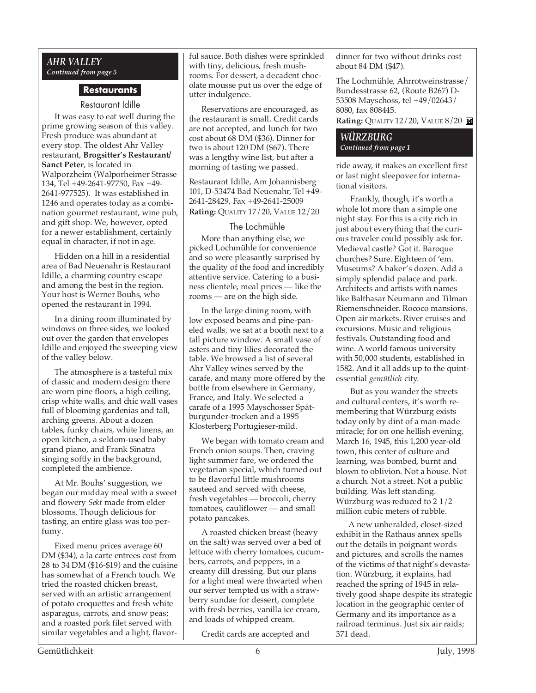#### *AHR VALLEY Continued from page 5*

#### **Restaurants**

#### Restaurant Idille

It was easy to eat well during the prime growing season of this valley. Fresh produce was abundant at every stop. The oldest Ahr Valley restaurant, **Brogsitter's Restaurant/ Sanct Peter**, is located in Walporzheim (Walporheimer Strasse 134, Tel +49-2641-97750, Fax +49- 2641-977525). It was established in 1246 and operates today as a combination gourmet restaurant, wine pub, and gift shop. We, however, opted for a newer establishment, certainly equal in character, if not in age.

Hidden on a hill in a residential area of Bad Neuenahr is Restaurant Idille, a charming country escape and among the best in the region. Your host is Werner Bouhs, who opened the restaurant in 1994.

In a dining room illuminated by windows on three sides, we looked out over the garden that envelopes Idille and enjoyed the sweeping view of the valley below.

The atmosphere is a tasteful mix of classic and modern design: there are worn pine floors, a high ceiling, crisp white walls, and chic wall vases full of blooming gardenias and tall, arching greens. About a dozen tables, funky chairs, white linens, an open kitchen, a seldom-used baby grand piano, and Frank Sinatra singing softly in the background, completed the ambience.

At Mr. Bouhs' suggestion, we began our midday meal with a sweet and flowery *Sekt* made from elder blossoms. Though delicious for tasting, an entire glass was too perfumy.

Fixed menu prices average 60 DM (\$34), a la carte entrees cost from 28 to 34 DM (\$16-\$19) and the cuisine has somewhat of a French touch. We tried the roasted chicken breast, served with an artistic arrangement of potato croquettes and fresh white asparagus, carrots, and snow peas; and a roasted pork filet served with similar vegetables and a light, flavorful sauce. Both dishes were sprinkled with tiny, delicious, fresh mushrooms. For dessert, a decadent chocolate mousse put us over the edge of utter indulgence.

Reservations are encouraged, as the restaurant is small. Credit cards are not accepted, and lunch for two cost about 68 DM (\$36). Dinner for two is about 120 DM (\$67). There was a lengthy wine list, but after a morning of tasting we passed.

Restaurant Idille, Am Johannisberg 101, D-53474 Bad Neuenahr, Tel +49- 2641-28429, Fax +49-2641-25009 **Rating:** QUALITY 17/20, VALUE 12/20

#### The Lochmühle

More than anything else, we picked Lochmühle for convenience and so were pleasantly surprised by the quality of the food and incredibly attentive service. Catering to a business clientele, meal prices — like the rooms — are on the high side.

In the large dining room, with low exposed beams and pine-paneled walls, we sat at a booth next to a tall picture window. A small vase of asters and tiny lilies decorated the table. We browsed a list of several Ahr Valley wines served by the carafe, and many more offered by the bottle from elsewhere in Germany, France, and Italy. We selected a carafe of a 1995 Mayschosser Spätburgunder-trocken and a 1995 Klosterberg Portugieser-mild.

We began with tomato cream and French onion soups. Then, craving light summer fare, we ordered the vegetarian special, which turned out to be flavorful little mushrooms sauteed and served with cheese, fresh vegetables — broccoli, cherry tomatoes, cauliflower — and small potato pancakes.

A roasted chicken breast (heavy on the salt) was served over a bed of lettuce with cherry tomatoes, cucumbers, carrots, and peppers, in a creamy dill dressing. But our plans for a light meal were thwarted when our server tempted us with a strawberry sundae for dessert, complete with fresh berries, vanilla ice cream, and loads of whipped cream.

Credit cards are accepted and

dinner for two without drinks cost about 84 DM (\$47).

The Lochmühle, Ahrrotweinstrasse/ Bundesstrasse 62, (Route B267) D-53508 Mayschoss, tel +49/02643/ 8080, fax 808445. **Rating:** QUALITY 12/20, VALUE 8/20

#### *WÜRZBURG Continued from page 1*

ride away, it makes an excellent first or last night sleepover for international visitors.

 Frankly, though, it's worth a whole lot more than a simple one night stay. For this is a city rich in just about everything that the curious traveler could possibly ask for. Medieval castle? Got it. Baroque churches? Sure. Eighteen of 'em. Museums? A baker's dozen. Add a simply splendid palace and park. Architects and artists with names like Balthasar Neumann and Tilman Riemenschneider. Rococo mansions. Open air markets. River cruises and excursions. Music and religious festivals. Outstanding food and wine. A world famous university with 50,000 students, established in 1582. And it all adds up to the quintessential *gemütlich* city.

 But as you wander the streets and cultural centers, it's worth remembering that Würzburg exists today only by dint of a man-made miracle; for on one hellish evening, March 16, 1945, this 1,200 year-old town, this center of culture and learning, was bombed, burnt and blown to oblivion. Not a house. Not a church. Not a street. Not a public building. Was left standing. Würzburg was reduced to 2 1/2 million cubic meters of rubble.

A new unheralded, closet-sized exhibit in the Rathaus annex spells out the details in poignant words and pictures, and scrolls the names of the victims of that night's devastation. Würzburg, it explains, had reached the spring of 1945 in relatively good shape despite its strategic location in the geographic center of Germany and its importance as a railroad terminus. Just six air raids; 371 dead.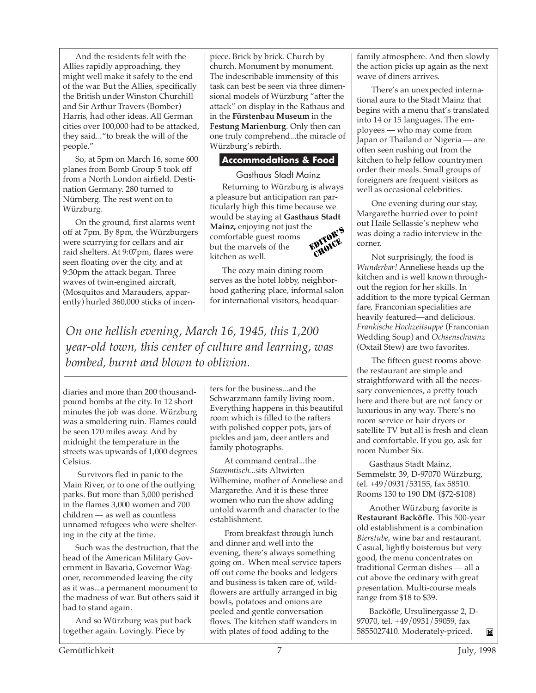And the residents felt with the Allies rapidly approaching, they might well make it safely to the end of the war. But the Allies, specifically the British under Winston Churchill and Sir Arthur Travers (Bomber) Harris, had other ideas. All German cities over 100,000 had to be attacked, they said..."to break the will of the people."

So, at 5pm on March 16, some 600 planes from Bomb Group 5 took off from a North London airfield. Destination Germany. 280 turned to Nürnberg. The rest went on to Würzburg.

On the ground, first alarms went off at 7pm. By 8pm, the Würzburgers were scurrying for cellars and air raid shelters. At 9:07pm, flares were seen floating over the city, and at 9:30pm the attack began. Three waves of twin-engined aircraft, (Mosquitos and Marauders, apparently) hurled 360,000 sticks of incen-

piece. Brick by brick. Church by church. Monument by monument. The indescribable immensity of this task can best be seen via three dimensional models of Würzburg "after the attack" on display in the Rathaus and in the **Fürstenbau Museum** in the **Festung Marienburg**. Only then can one truly comprehend...the miracle of Würzburg's rebirth.

#### **Accommodations & Food**

Gasthaus Stadt Mainz

Returning to Würzburg is always a pleasure but anticipation ran particularly high this time because we would be staying at **Gasthaus Stadt Mainz,** enjoying not just the comfortable guest rooms but the marvels of the kitchen as well. EDITOR'S CHOICE.

The cozy main dining room serves as the hotel lobby, neighborhood gathering place, informal salon for international visitors, headquar-

*On one hellish evening, March 16, 1945, this 1,200 year-old town, this center of culture and learning, was bombed, burnt and blown to oblivion.*

diaries and more than 200 thousandpound bombs at the city. In 12 short minutes the job was done. Würzburg was a smoldering ruin. Flames could be seen 170 miles away. And by midnight the temperature in the streets was upwards of 1,000 degrees Celsius.

 Survivors fled in panic to the Main River, or to one of the outlying parks. But more than 5,000 perished in the flames 3,000 women and 700 children — as well as countless unnamed refugees who were sheltering in the city at the time.

Such was the destruction, that the head of the American Military Government in Bavaria, Governor Wagoner, recommended leaving the city as it was...a permanent monument to the madness of war. But others said it had to stand again.

And so Würzburg was put back together again. Lovingly. Piece by

ters for the business...and the Schwarzmann family living room. Everything happens in this beautiful room which is filled to the rafters with polished copper pots, jars of pickles and jam, deer antlers and family photographs.

At command central...the *Stammtisch*...sits Altwirten Wilhemine, mother of Anneliese and Margarethe. And it is these three women who run the show adding untold warmth and character to the establishment.

 From breakfast through lunch and dinner and well into the evening, there's always something going on. When meal service tapers off out come the books and ledgers and business is taken care of, wildflowers are artfully arranged in big bowls, potatoes and onions are peeled and gentle conversation flows. The kitchen staff wanders in with plates of food adding to the

family atmosphere. And then slowly the action picks up again as the next wave of diners arrives.

 There's an unexpected international aura to the Stadt Mainz that begins with a menu that's translated into 14 or 15 languages. The employees — who may come from Japan or Thailand or Nigeria — are often seen rushing out from the kitchen to help fellow countrymen order their meals. Small groups of foreigners are frequent visitors as well as occasional celebrities.

 One evening during our stay, Margarethe hurried over to point out Haile Sellassie's nephew who was doing a radio interview in the corner.

 Not surprisingly, the food is *Wunderbar!* Anneliese heads up the kitchen and is well known throughout the region for her skills. In addition to the more typical German fare, Franconian specialities are heavily featured—and delicious. *Frankische Hochzeitsuppe* (Franconian Wedding Soup) and *Ochsenschwanz* (Oxtail Stew) are two favorites.

 The fifteen guest rooms above the restaurant are simple and straightforward with all the necessary conveniences, a pretty touch here and there but are not fancy or luxurious in any way. There's no room service or hair dryers or satellite TV but all is fresh and clean and comfortable. If you go, ask for room Number Six.

Gasthaus Stadt Mainz, Semmelstr. 39, D-97070 Würzburg, tel. +49/0931/53155, fax 58510. Rooms 130 to 190 DM (\$72-\$108)

Another Würzburg favorite is **Restaurant Backöfle**. This 500-year old establishment is a combination *Bierstube*, wine bar and restaurant. Casual, lightly boisterous but very good, the menu concentrates on traditional German dishes — all a cut above the ordinary with great presentation. Multi-course meals range from \$18 to \$39.

Backöfle, Ursulinergasse 2, D-97070, tel. +49/0931/59059, fax 5855027410. Moderately-priced. M